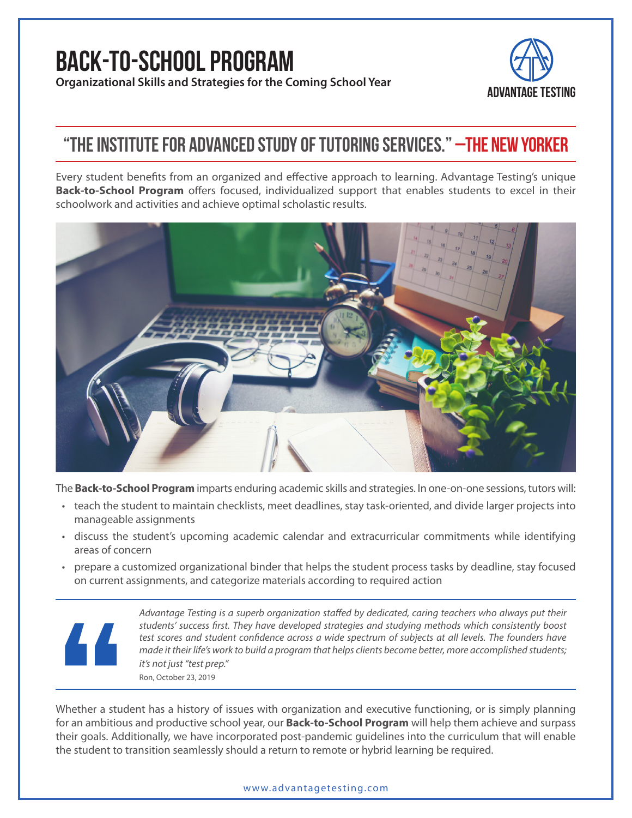# **Back-to-School Program**

**Organizational Skills and Strategies for the Coming School Year ADVANTAGE TESTING** 



## **"The Institute for Advanced Study of tutoring services." –The New Yorker**

Every student benefits from an organized and effective approach to learning. Advantage Testing's unique **Back-to-School Program** offers focused, individualized support that enables students to excel in their schoolwork and activities and achieve optimal scholastic results.



The **Back-to-School Program** imparts enduring academic skills and strategies. In one-on-one sessions, tutors will:

- teach the student to maintain checklists, meet deadlines, stay task-oriented, and divide larger projects into manageable assignments
- discuss the student's upcoming academic calendar and extracurricular commitments while identifying areas of concern
- prepare a customized organizational binder that helps the student process tasks by deadline, stay focused on current assignments, and categorize materials according to required action



*Advantage Testing is a superb organization staffed by dedicated, caring teachers who always put their students' success first. They have developed strategies and studying methods which consistently boost test scores and student confidence across a wide spectrum of subjects at all levels. The founders have made it their life's work to build a program that helps clients become better, more accomplished students; it's not just "test prep."* [Ron, October 23, 2019](https://www.trustpilot.com/reviews/5db0ce0e6048580a5ce4dd30)

Whether a student has a history of issues with organization and executive functioning, or is simply planning for an ambitious and productive school year, our **Back-to-School Program** will help them achieve and surpass their goals. Additionally, we have incorporated post-pandemic guidelines into the curriculum that will enable the student to transition seamlessly should a return to remote or hybrid learning be required.

#### [www.advantagetesting.com](http://www.advantagetesting.com/)